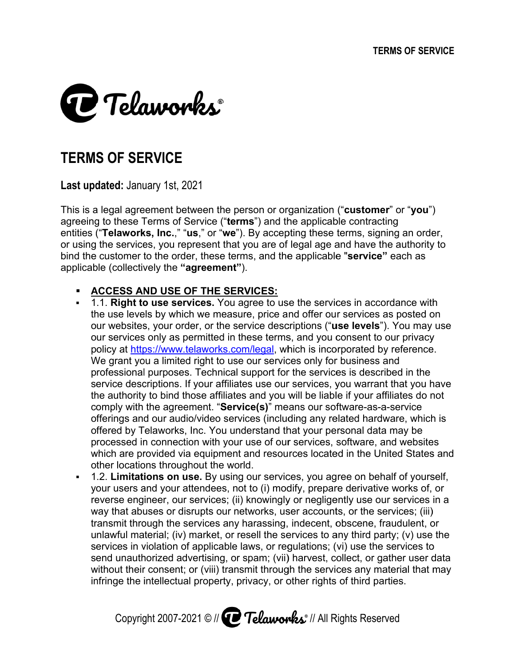

# **TERMS OF SERVICE**

**Last updated:** January 1st, 2021

This is a legal agreement between the person or organization ("customer This is a legal agreement between the person or organization ("**customer**" o<br>agreeing to these Terms of Service ("**terms**") and the applicable contracting entities ("**Telaworks, Inc.**," "us," or "we"). By accepting these or using the services, you represent that you are of legal age and have the authority to<br>bind the customer to the order, these terms, and the applicable "**service**" each as or using the services, you represent that you are of legal age and have the authorit<br>bind the customer to the order, these terms, and the applicable "**service**" each as applicable (collectively the **"agreeme greement" nt"**). f Service ("**terms**") and the applicable contracting<br>" "**us**," or "**we**"). By accepting these terms, signing an order<br>represent that you are of legal age and have the authority t<br>rder, these terms, and the applicable "**ser** and the applicable contracting<br>accepting these terms, signing an order,

#### **ACCESS AND USE OF THE SERVICES:**

- **ACCESS AND USE OF THE SERVICES:**<br>• 1.1. **Right to use services.** You agree to use the the use levels by which we measure, price and offer our the use levels by which we measure, price and offer our services as posted on<br>our websites, your order, or the service descriptions ("**use levels**"). You may use our services only as permitted in these terms, and you consent to our policy at https://www.telaworks.com/legal, which is incorporated by reference. We grant you a limited right t professional purposes. Technical support for the We grant you a limited right to use our services only for business and<br>professional purposes. Technical support for the services is described in the<br>service descriptions. If your affiliates use our services, you warrant th the authority to bind those affiliates and you will be liable if your affiliates do not comply with the offerings and our audio/video services (including any related hardware, which is comply with the agreement. "**Service(s)**" means our software-as-a-service<br>offerings and our audio/video services (including any related hardware, whi<br>offered by Telaworks, Inc. You understand that your personal data may be processed in connection with your use of our services, software, and websites processed in connection with your use of our services, software, and websites<br>which are provided via equipment and resources located in the United States and other locations throughout the world. authority to bind those affiliates and you will be<br>iply with the agreement. "**Service(s)**" means ou<br>rings and our audio/video services (including ar<br>red by Telaworks, Inc. You understand that you ervices only as permitted in these terms, and<br>y at <u>https://www.telaworks.com/legal</u>, which<br>prant you a limited right to use our services of<br>ssional purposes. Technical support for the escriptions. If your affiliates use our services, yo<br>prity to bind those affiliates and you will be liable<br>vith the agreement. "**Service(s)**" means our softv you a limited right to use our services only for business and greement. **Service(s) ervice(s)**" means our software **Right to use services.** You agree to use the services in accordance with use levels by which we measure, price and offer our services as posted on websites, your order, or the service descriptions ("**use levels**"). You ma d by Telaworks, Inc. You understand that your personal data may be<br>ssed in connection with your use of our services, software, and websites<br>are provided via equipment and resources located in the United States and<br>location erms, and you consent to our privacy<br>al, which is incorporated by reference.<br>ervices only for business and<br>rt for the services is described in the pport for the services is described in the<br>s use our services, you warrant that you have<br>and you will be liable if your affiliates do not<br>**e(s)**" means our software-as-a-service **ustomer**" or "**you**")<br>contracting<br>ms, signing an ordel<br>l have the authority<br>**service**" each as<br>in accordance with<br>ervices as posted or<br>**levels**"). You may u<br>sent to our privacy<br>practed by reference.<br>siness and<br>is describe ا offer our services as posted or<br>ptions ("**use levels**"). You may ι<br>and you consent to our privacy eleavorise, inc..<sup>2</sup> "us," or "we"). By accepting these terms, signing an order, eleavices, you represent that you are of legal age and have the authority to (collectively the "agreement").<br>
ESS AND USE OF THE SERVICES:<br>
C
- 1.2. **Limitations on use se.** By using our your users and your attendees, not to (i) modify, prepare derivative works of, or your users and your attendees, not to (i) modify, prepare derivative works of, reverse engineer, our services; (ii) knowingly or negligently use our services i<br>way that abuses or disrupts our networks, user accounts, or th way that abuses or disrupts our networks, user accounts, or the services; (iii) transmit through the services any harassing, indecent, obscene, fraudulent, or unlawful material; (iv) market, or resell the services to any third party; (v) use the services in violation of applicable laws, or regulations; (vi) use the services to transmit through the services any harassing, indecent, obscene, fraudulent, or<br>unlawful material; (iv) market, or resell the services to any third party; (v) use the<br>services in violation of applicable laws, or regulations without their consent; or (viii) transmit through the services any material that may way that abuses or disrupts our networks, user accounts, or the service<br>transmit through the services any harassing, indecent, obscene, fraudu<br>unlawful material; (iv) market, or resell the services to any third party; (<br>se **e.** By using our services, you agree on behalf of yourself, endees, not to (i) modify, prepare derivative works of, or ervices; (ii) knowingly or negligently use our services in a upts our networks, user accounts, or the collect,

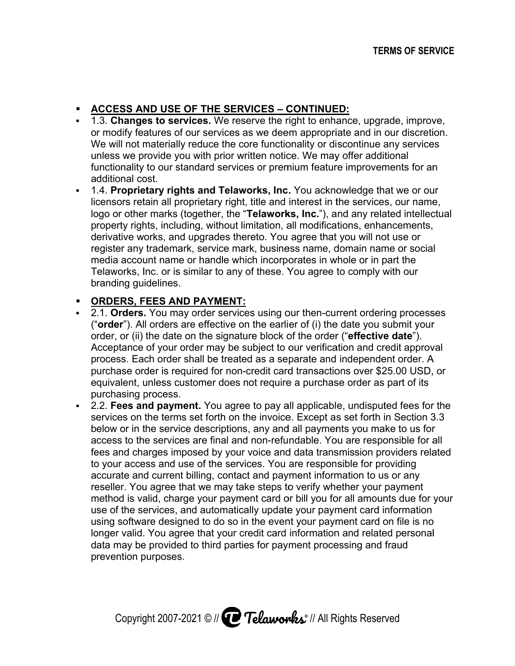## **ACCESS AND USE OF THE SERVICES - CONTINUED:**

- **ACCESS AND USE OF THE SERVICES CONTINUED:**<br>• 1.3. **Changes to services.** We reserve the right to enhance, upgrade, improve, 1.3. Changes to services. We reserve the right to enhance, upgrade, improve,<br>or modify features of our services as we deem appropriate and in our discretion. We will not materially reduce the core functionality or discontinue any We will not materially reduce the core functionality or discontinue any se<br>unless we provide you with prior written notice. We may offer additional functionality to our standard services or premium feature improvements for an additional cost. **ges to services.** We reserve the righeatures of our services as we deem<br>t materially reduce the core functions<br>provide you with prior written notice.<br>y to our standard services or premiu or modify features of our services as we deem appropriate and in our<br>We will not materially reduce the core functionality or discontinue any provide you with prior written notice. We may offer additional<br>y to our standard services or premium feature improvements for an<br>cost.<br>ie**tary rights and Telaworks, Inc.** You acknowledge that we or our<br>etain all proprietar
- **1.4. Proprietary rights and Telaworks, Inc.** You acknowledge that we or our licensors retain all proprietary right, title and interest in the services, our name, licensors retain all proprietary right, title and interest in the services, our n<br>logo or other marks (together, the "**Telaworks, Inc.**"), and any related inte<br>property rights, including, without limitation, all modificati property rights, including, without limitation, all modifications, enhancements, property rights, including, enhancements, derivative works, and upgrades thereto. You agree that you will not use or register any trademark, service mark, business name, domain nam media account name or handle which incorporates in whole or in part the Telaworks, Inc. or is similar to any of these. You agree to comply with our branding guidelines. Telaworks, Inc. or is similar to any of these. You agree to comply with our<br>branding guidelines.<br>**ORDERS, FEES AND PAYMENT:**<br>2.1. **Orders.** You may order services using our then-current ordering processes property rights, including, without limitation, all modifications, enhare<br>derivative works, and upgrades thereto. You agree that you will not<br>register any trademark, service mark, business name, domain nam<br>media account na other marks (together, the "Telaworks, Inc."), and any related intellectual derivative works, and upgrades thereto. You agree that you will not use c<br>register any trademark, service mark, business name, domain name or s<br>media account name or handle which incorporates in whole or in part the<br>Telawo ietary right, title and interest in the services, our name<br>ether, the "**Telaworks, Inc.**"), and any related intellect<br>g, without limitation, all modifications, enhancements,<br>grades thereto. You agree that you will not use handle which incorporates in whole or in<br>ilar to any of these. You agree to comply<br><u>AYMENT:</u><br>der services using our then-current order<br>effective on the earlier of (i) the date you

## **ORDERS, FEES AND PAYMENT: FEES AND PAYMENT:**

- ("**order**"). All orders are effective on the earlier of (i) the date you submit your o order, or (ii) the date on the signature block of the order, or (ii) the date on the signature block of the order ("**effective date**").<br>Acceptance of your order may be subject to our verification and credit approval process. Each order shall be treated as a separate and independent and independent p purchase order is required for non \$25.00 USD, or purchase order is required for non-credit card transactions over \$25.00 USD<br>equivalent, unless customer does not require a purchase order as part of its purchasing process. 'order"). All orders are effect<br>rder, or (ii) the date on the s<br>cceptance of your order may<br>rocess. Each order shall be<br>urchase order is required for<br>quivalent, unless customer o roperty rights, including, without limitation, all modifications, enharerivative works, and upgrades thereto. You agree that you will not egister any trademark, service mark, business name, domain namedia account name or h the date on the signature block of the order ("effective date"). may be subject to our verification and credit approval<br>be treated as a separate and independent order. A<br>l for non-credit card transactions over \$25.00 USD, or
- **2.2. Fees and payment.** You agree to pay all applicable, undisputed fees for the services on the terms set forth on the invoice. Except as set forth in Section 3.3 services on the terms set forth on the invoice. Except as set forth in Section 3.<br>below or in the service descriptions, any and all payments you make to us for access to the services are final and non-refundable. You are responsible for all fees and charges imposed by your voice and data transmission providers related to your access and use of the services. You are responsible for providing accurate and current billing, contact and payment information to us or any reseller. You agree that we may take steps to verify whether your payment method is valid, charge your payment card or bill you for all amounts due for your use of the services, and automatically update your payment card information using software designed to do so in the event your payment card on file is no method is valid, charge your payment card or bill you for all amounts due for y<br>use of the services, and automatically update your payment card information<br>using software designed to do so in the event your payment card on data may be provided to third parties for payment processing and fraud prevention purposes. your access and use of the services. You are responsible for providing<br>curate and current billing, contact and payment information to us or any<br>seller. You agree that we may take steps to verify whether your payment<br>ethod id payment information to us or any<br>:teps to verify whether your payment<br>card or bill you for all amounts due for your ss to the services are final and non-refundable. You are responsible for<br>and charges imposed by your voice and data transmission providers rel<br>ur access and use of the services. You are responsible for providing reseller. You agree that we may take steps to verify whether your paymenthod is valid, charge your payment card or bill you for all amounts du use of the services, and automatically update your payment card inform using so charges imposed by your voice and data transmission<br>ccess and use of the services. You are responsible for<br>and current billing, contact and payment information to<br>You agree that we may take steps to verify whether you<br>is v THE SERVICES - CONTINUED;<br>
S. We reserve the right to enhance, upgrade, improve,<br>
services as we deem appropriate and in our discretion.<br>
the roor tunctionality or discontinue any services<br>
the roor tunctionality or discon enhance, upgrade, improve<br>opriate and in our discretior<br>may offer additional<br>ature improvements for an<br>acknowledge that we or our<br>t in the services, our name,<br>"), and any related intellectuations, enhancements,<br>that you wi rless customer does not require a purchase order as part of rocess.<br> **d payment**. You agree to pay all applicable, undisputed fees<br>
he terms set forth on the invoice. Except as set forth in Sective<br>
ie services are final a Changes to services. We reserve the right to enhance, upgrade, improves most we provide you with prior with on the erainty reductions, the may offer additional costs we provide you with prior withen notice. We may offer ad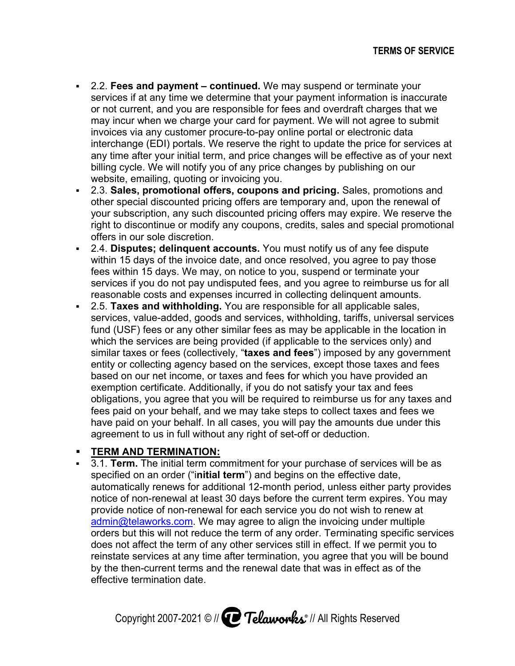- **-** 2.2. Fees and payment continued. We may suspend or terminate your services if at any time we determine that your payment information is inaccurate or not current, and you are responsible for fees and overdraft charges that we may incur when we charge your card for payment. We will not agree to submit may incur when we charge your card for payment. We<br>invoices via any customer procure-to-pay online portal interchange (EDI) portals. We reserve the right to update the price for for any time after your initial term, and price changes billing cycle. We will notify you of any price changes by publishing on our website, emailing, quoting or invoicing you. services if at any time we determine that your payment information<br>or not current, and you are responsible for fees and overdraft charg<br>may incur when we charge your card for payment. We will not agre<br>nvoices via any custo services if at any time we determine that your payment information is inaccurate<br>or not current, and you are responsible for fees and overdraft charges that we<br>may incur when we charge your card for payment. We will not ag procure-to-pay online portal or electronic data<br>We reserve the right to update the price for service<br>erm, and price changes will be effective as of your<br>you of any price changes by publishing on our ervices if at any time we determine that your payment information is inaccurate<br>r not current, and you are responsible for fees and overdraft charges that we<br>hay incur when we charge your card for payment. We will not agre eserve the right to update the price for services at<br>and price changes will be effective as of your next<br>of any price changes by publishing on our We reserve the right to update the price for services at and price changes will be effective as of your next
- **2.3. Sales, promotional offers, coupons and pricing. Sales, promotions and** other special discounted pricing offers are temporary and, upon the renewal of other special discounted pricing offers are temporary and, upon the renewal of<br>your subscription, any such discounted pricing offers may expire. We reserve the<br>right to discontinue or modify any coupons, credits, sales and right to discontinue or modify any coupons, credits, sales and special promotional<br>offers in our sole discretion. offers in our sole discretion. subscription, any such discounted pricing offers may expire. We reserve the ycle. We will notify you of any price changes by publishing on our<br>, emailing, quoting or invoicing you.<br> **es, promotional offers, coupons and pricing.** Sales, promotions and<br>
becial discounted pricing offers are temporary
- **2.4. Disputes; delinquent accounts.** You must notify us of any fee within 15 days of the invoice date, and once resolved, you agree to pay those within 15 days of the invoice date, and once resolved, you agree to pay tho<br>fees within 15 days. We may, on notice to you, suspend or terminate your services if you do not pay undisputed fees, and you agree to reimburse us for all reasonable costs and expenses incurred in collecting delinguent amounts. within 15 days of the invoice date, and once resolved, you agree to pay those<br>fees within 15 days. We may, on notice to you, suspend or terminate your<br>services if you do not pay undisputed fees, and you agree to reimburse 15 days of the invoice date, and once resolved, you agree to pay those within 15 days. We may, on notice to you, suspend or terminate your ces if you do not pay undisputed fees, and you agree to reimburse us for all pnable n, any such discounted pricing offers may expire. We reserve the<br>nue or modify any coupons, credits, sales and special promotiona<br>e discretion.<br>**delinquent accounts.** You must notify us of any fee dispute<br>of the invoice da ght to discontinue or modify any coupons, credits, sales and special promotic<br>ffers in our sole discretion.<br>.4. **Disputes; delinquent accounts.** You must notify us of any fee dispute<br>*i*thin 15 days of the invoice date, an
- **2.5. Taxes and withholding.** You are responsible for all applicable sales, fund (USF) fees or any other similar fees as may be applicable in the location<br>which the services are being provided (if applicable to the services only) and fund (USF) fees or any other similar fees as may be applicable in the location<br>which the services are being provided (if applicable to the services only) and services, value-added, goods and services, withholding, tariffs, universal services<br>fund (USF) fees or any other similar fees as may be applicable in the location in<br>which the services are being provided (if applicable to entity or collecting agency based on the services, exc based on our net income, or taxes and fees for which you have provided an based on our net income, or taxes and fees for which you have provided<br>exemption certificate. Additionally, if you do not satisfy your tax and fees obligations, you agree that you will be required to reimburse us for any fees paid on your behalf, and we may take steps to collect have paid on your behalf. In all cases, you will pay the amounts due under this have paid on your behalf. In all cases, you will pay the amounts due<br>agreement to us in full without any right of set-off or deduction. have paid on your behalf. In all cases, you will pay the amounts due under this<br>agreement to us in full without any right of set-off or deduction.<br>TERM AND TERMINATION:<br>3.1. Term. The initial term commitment for your purch obligations, you agree that you will be required to reimburse us for any taxes afees paid on your behalf, and we may take steps to collect taxes and fees we have paid on your behalf. In all cases, you will pay the amounts ervices are being provided (if applicable to the s<br>is or fees (collectively, "**taxes and fees**") impose<br>llecting agency based on the services, except the<br>ur net income, or taxes and fees for which you h<br>certificate. Additi exemption certificate. Additionally,<br>obligations, you agree that you will<br>fees paid on your behalf, and we m<br>have paid on your behalf. In all cas<br>agreement to us in full without any agency based on the services, except those taxes and f **xes and fees**") imposed by any government<br>the services, except those taxes and fees<br>nd fees for which you have provided an<br>you do not satisfy your tax and fees si at any time we determine that your payment information is inany and<br>surrent, and you are responsible for feres and overdant charges the<br>surrent, and you are responsible for feres and overdant charges the<br>signal any cust you agree that you will be required to reimburse us for any taxes and vices if at any time we determine that your payment information is inaccurate<br>in other when we charge your card for payment. We will not agree to submit<br>yielner when we charge your card for payment. We will not agree to su

#### **TERM AND TERMINATION AND TERMINATION:**

3.1. Term. The initial term commitment for your purchase of services v<br>specified on an order ("initial term") and begins on the effective date, automatically renew notice of non-renewal at least 30 days before the current term expires. You may notice of non-renewal at least 30 days before the current term expires. You<br>provide notice of non-renewal for each service you do not wish to renew at notice of non-renewal at least 30 days before the current term expires. You<br>provide notice of non-renewal for each service you do not wish to renew at<br><u>admin@telaworks.com</u>. We may agree to align the invoicing under multip notice of non-renewal at least 30 days before the current term expires. You may<br>provide notice of non-renewal for each service you do not wish to renew at<br>admin@telaworks.com</u>. We may agree to align the invoicing under mul does not affect the term of any other services still in effect. If we permit you to does not affect the term of any other servic<br>reinstate services at any time after termina by the then-current terms and the renewal date that was in effect as of effective termination date. specified on an order ("i**nitial term**") and beginautomatically renews for additional 12-month<br>notice of non-renewal at least 30 days before<br>provide notice of non-renewal for each service<br><u>admin@telaworks.com</u>. We may agre renews for additional 12-month period, unless either party provides rders but this will not reduce the term of any order. Terminating specific soes not affect the term of any other services still in effect. If we permit you einstate services at any time after termination, you agree that yo ervices at any time after termination, you agree that you will be bound erm of any other services still in effect. If we permit you to<br>any time after termination, you agree that you will be bound<br>erms and the renewal date that was in effect as of the tion, you agree that you will be bound

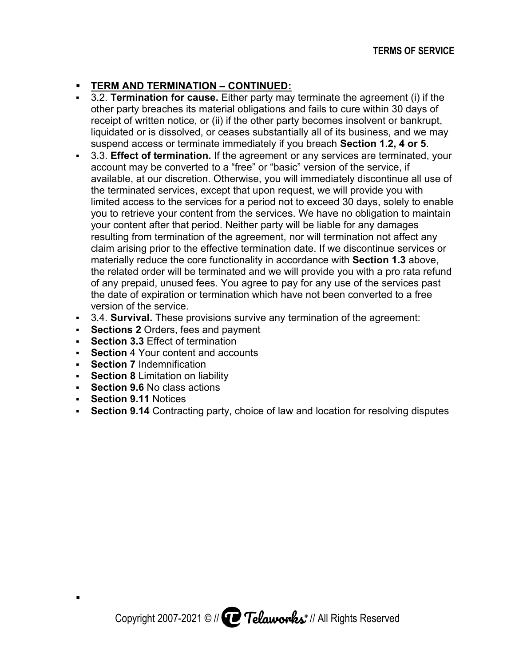## **TERM AND TERMINATION AND TERMINATION – CONTINUED: CONTINUED:**

- **-** 3.2. **Termination for cause.** Either party may terminate the agreement (i) if other party breaches its material obligations and fails to cure within 30 days of<br>receipt of written notice, or (ii) if the other party becomes insolvent or bankrupt,<br>liquidated or is dissolved, or ceases substantially all other party breaches its material obligations and fails to cure within 30 days of<br>receipt of written notice, or (ii) if the other party becomes insolvent or bankrupt, liquidated or is dissolved, or ceases substantially all of its business, and we may liquidated or is dissolved, or ceases substantially all of its business, and we<br>suspend access or terminate immediately if you breach **Section 1.2, 4 or 5**. receipt of written notice, or (ii) if the other party becomes insolvent or bankr<br>liquidated or is dissolved, or ceases substantially all of its business, and we<br>suspend access or terminate immediately if you breach **Sectio** hes its material obligations and fails to cure within 30 days of<br>notice, or (ii) if the other party becomes insolvent or bankrupt,<br>ssolved, or ceases substantially all of its business, and we may
- **-** 3.3. Effect of termination. If the agreement or any services are terminated, your account may be converted to a "free" or "basic" version of the service, if account may be converted to a "free" or "basic" version of the service, if<br>available, at our discretion. Otherwise, you will immediately discontinue all use of account may be converted to a "free" or "basic" version of the service, if<br>available, at our discretion. Otherwise, you will immediately discontinue all ι<br>the terminated services, except that upon request, we will provide limited access to the services for a period not to exceed 30 days, solely to enable you to retrieve your content from the services. We have no obligation to maintain<br>your content after that period. Neither party will be liable for any damages you to retrieve your content fro<br>your content after that period. resulting from termination of the agreement, nor will termination not affect any claim arising prior to the effective termination date. If we discontinue materially reduce the core functionality in accordance with the related order will be terminated and we will provide you with a pro rata refund materially reduce the core functionality in accordance with **Section 1.3** above,<br>the related order will be terminated and we will provide you with a pro rata refur<br>of any prepaid, unused fees. You agree to pay for any use the date of expiration or termination which have not been converted to a free version of the the date of expiration or termination which have not been converted to a fre<br>version of the service.<br>3.4. **Survival.** These provisions survive any termination of the agreement: g prior to the effective termination date. If<br>educe the core functionality in accordance<br>order will be terminated and we will provid any prepaid, unused fees. You agree to pay for any use of the servic<br>e date of expiration or termination which have not been converted to<br>rsion of the service. ontent after that period. Neither party will be liable for any damages<br>ng from termination of the agreement, nor will termination not affect<br>arising prior to the effective termination date. If we discontinue servicially<br>re ervices, except that upon request, we will provide you with<br>the services for a period not to exceed 30 days, solely to<br>our content from the services. We have no obligation to m<br>er that period. Neither party will be liable discretion. Otherwise, you will immediately discontinue all use of<br>ervices, except that upon request, we will provide you with<br>o the services for a period not to exceed 30 days, solely to enable<br>our content from the servic m arising prior to the effective termination date.<br>
erially reduce the core functionality in accordar<br>
related order will be terminated and we will pro<br>
ny prepaid, unused fees. You agree to pay for<br>
date of expiration or except that upon request, we will provide you with<br>vices for a period not to exceed 30 days, solely to enable with **Section Section 1.3** above, greement (i) if the<br>within 30 days of<br>lvent or bankrupt,<br>iness, and we may<br>on 1.2, 4 or 5.<br>service, if<br>scontinue all use c<br>vide you with<br>ays, solely to enabligation to maintain<br>ligation to maintain<br>my damages<br>on not affect If the agreement or any services are terminated, yo<br>io a "free" or "basic" version of the service, if<br>Otherwise, you will immediately discontinue all use<br>cept that upon request, we will provide you with ervices for a period not to exceed 30 days, solely to enable<br>ntent from the services. We have no obligation to maintain<br>period. Neither party will be liable for any damages<br>ion of the agreement, nor will termination not af dated or is dissolved, or ceases substantially all of its business, and we m<br>pend access or terminate immediately if you breach **Section 1.2, 4 or 5**.<br>**Effect of termination**. If the agreement or any services are terminate
- 
- **Sections 2 Orders, fees and payment**
- **Section Section 3.3** Effect of termination
- **Section**  4 Your content and a accounts
- **Section 7** Indemnification
- **Section 8** Limitation on liability
- **Section 9.6** No class actions
- **Section 9.11 Notices**

.

**Section 9.14** Contracting party, choice of law and location for y termination of the agreement:<br>#<br>aw and location for resolving disputes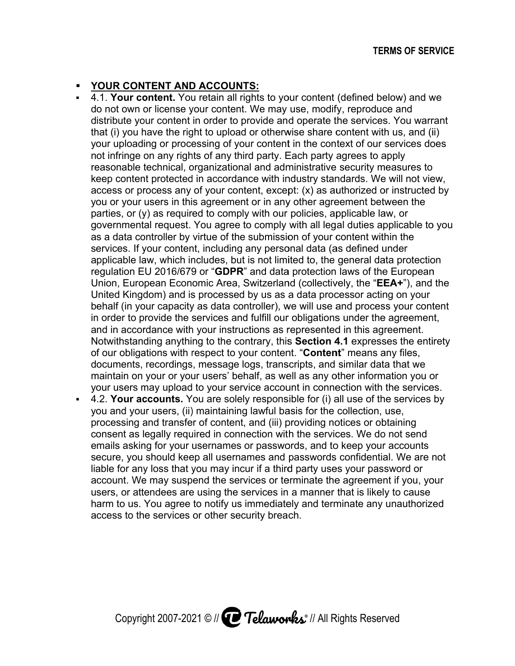## **• YOUR CONTENT AND ACCOUNTS:**

- **4.1. Your content.** You retain all rights to your content (defined below) and we do not own or license your content. We may use, modify, reproduce and distribute your content in order to provide and operate the services. You warrant distribute your content in order to provide and operate the services. You warrar<br>that (i) you have the right to upload or otherwise share content with us, and (ii) that (i) you have the right to upload or otherwise share content with<br>your uploading or processing of your content in the context of our s not infringe on any rights of any third party. Each party agrees to apply not infringe on any rights of any third party. Each party agrees to apply<br>reasonable technical, organizational and administrative security measures to not infringe on any rights of any third party. Each party agrees to apply<br>reasonable technical, organizational and administrative security measures to<br>keep content protected in accordance with industry standards. We will n distribute your content in order to provide and operate the services. You warrant<br>that (i) you have the right to upload or otherwise share content with us, and (ii)<br>your uploading or processing of your content in the conte you or your users in this agreement or in any other agreement between the parties, or (y) as required to comply with our policies, applicable law, or not infringe on any rights of any third party. Each party agrees to apply<br>reasonable technical, organizational and administrative security measures to<br>keep content protected in accordance with industry standards. We will n as a data controller by virtue of the submission of your c services. If your services. If your content, including any personal data (as defined unc<br>applicable law, which includes, but is not limited to, the general data regulation EU 2016/679 or "**GDPR**" and data protection laws of the European regulation EU 2016/679 or "**GDPR**" and data protection laws of the European<br>Union, European Economic Area, Switzerland (collectively, the "**EEA+**"), and the United Kingdom) and is processed by us as a data processor act processor act behalf (in your capacity as data controller), we will use and process your behalf (in your capacity as data controller), we will use and process your conter<br>in order to provide the services and fulfill our obligations under the agreement, behalf (in your capacity as data controller), we will use and process your co<br>in order to provide the services and fulfill our obligations under the agreeme<br>and in accordance with your instructions as represented in this a Notwithstanding anything to the contrary, this **Section 4.1** expresses the entirety of our obligations with respect to your documents, recordings, documents, recordings, message logs, transcripts, and similar data that we<br>maintain on your or your users' behalf, as well as any other information you or your users may upload to your service account in connection with the s a data controller by virtue of the submission<br>ervices. If your content, including any persona<br>pplicable law, which includes, but is not limited United Kingdom) and is processed by us as a data processor acting on your<br>behalf (in your capacity as data controller), we will use and process your content<br>in order to provide the services and fulfill our obligations unde our obligations with respect to your<br>cuments, recordings, message logs<br>aintain on your or your users' behalf content, including any personal data (as defined under equired to comply with our polic<br>uest. You agree to comply with<br>er by virtue of the submission of<br>ontent, including any personal c<br>nich includes, but is not limited t ithstanding anything to the co<br>r obligations with respect to y<br>ments, recordings, message **nt.** You retain all rights to your content<br>cense your content. We may use, modif<br>ontent in order to provide and operate to<br>the right to upload or otherwise share not infringe on any rights of any third party. Each party agrees to apply<br>reasonable technical, organizational and administrative security measur<br>keep content protected in accordance with industry standards. We will n<br>acce European Economic Area, Switzerland (collectively, Kingdom) and is processed by us as a data processed (in your capacity as data controller), we will use and r to provide the services and fulfill our obligations unaccordan logs, transcripts, and similar data that we ontent. We may use, modify, reproduce and cted in accordance with industry standards. We will not view,<br>any of your content, except: (x) as authorized or instructed by<br>n this agreement or in any other agreement between the<br>quired to comply with our policies, appli ontent. **Content Content**" means any files, **ERNIS OF SERVICE**<br> **ERNIS OF SERVICE**<br> **DEVALUATS:**<br> **COLOCYC** many use, modify, reproduce and<br>
in order to provide and operate the services. You warrant<br>
in to chero to provide and operate the services. You warrant<br>
th t inge on any rights of any third party. Each party agrees to apply<br>able technical, organizational and administrative security measures<br>ontent protected in accordance with industry standards. We will not<br>is or process any of acting on your r, reproduce and<br>
e services. You warrant<br>
ontent with us, and (ii)<br>
ext of our services does<br>
grees to apply<br>
security measures to<br>
dards. We will not view,<br>
thorized or instructed by<br>
ement between the<br>
plicable law, or<br> ent, except: (x) as authorized or instructed b<br>t or in any other agreement between the<br>y with our policies, applicable law, or<br>o comply with all legal duties applicable to yo<br>submission of your content within the<br>any perso r instructions as represented in this agreement.<br>The contrary, this **Section 4.1** expresses the entire<br>ect to your content. "**Content**" means any files,<br>ssage logs, transcripts, and similar data that we<br>ers' behalf, as wel yolonding or processing of your content in the context of our services does<br>trimge on any rights of any trind party. Each party greent y measures to<br>content protected in accordance with industry standares. We will not view
- 4.2. **Your accounts. ccounts.** You are solely responsible for (i) all use of the you and your users, (ii) maintaining lawful basis for the collection, use, 4.2. **Your accounts.** You are solely responsible for (i) all use of the servic<br>you and your users, (ii) maintaining lawful basis for the collection, use,<br>processing and transfer of content, and (iii) providing notices or o consent as legally required in connection with the emails asking for your usernames or passwords, and to keep your accounts secure, you should keep all usernames and passwords confidential. We are not secure, you should keep all usernames and passwords confidential. We ar<br>liable for any loss that you may incur if a third party uses your password or account. We may suspend the services or terminate the agreement if you, your users, or attendees are using the services in a manner that is likely to cause harm to us. You agree to notify us immediately and terminate any unauthorized access to the services or other security breach. and transfer of content, and (iii) providing notices or oblegally required in connection with the services. We do<br>ng for your usernames or passwords, and to keep your<br>should keep all usernames and passwords confidentia<br>y l legally required in connection with th<br>ng for your usernames or passwords<br>should keep all usernames and pas<br>y loss that you may incur if a third pa<br>e may suspend the services or termi lees are using<br>u agree to notif<br>ervices or othe maintain on your or your users' behalf, as well as any other information you c<br>your users may upload to your service account in connection with the service<br>4.2. **Your accounts**. You are solely responsible for (i) all use o users, or attendees are using the services in a manner that is likely to<br>harm to us. You agree to notify us immediately and terminate any una bour users' behalf, as well as any other information you<br>d to your service account in connection with the service<br>You are solely responsible for (i) all use of the services<br>ii) maintaining lawful basis for the collection, consent as legally required in connection with the services. We do not send<br>emails asking for your usernames or passwords, and to keep your accounts<br>secure, you should keep all usernames and passwords confidential. We are use of the services by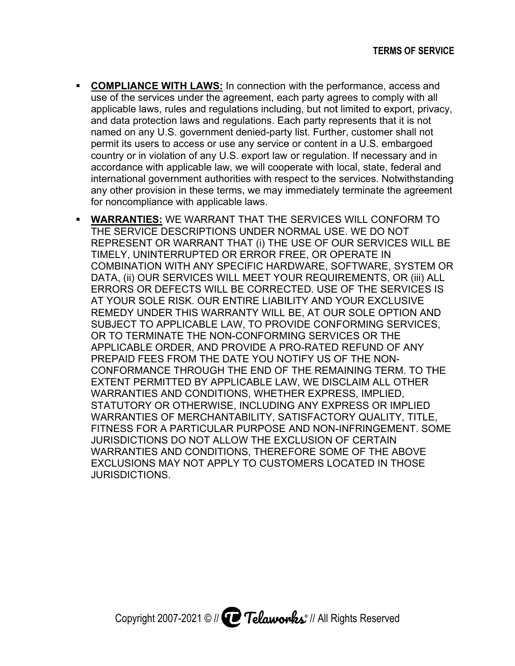- **COMPLIANCE WITH LAWS:** In connection with the performance, access and use of the services under the agreement, each party agrees to comply with all applicable laws, rules and regulations including, but not limited to export, privacy, and data protection laws and regulatio named on any U.S. government denied permit its users to access or use any service or content in a U.S. embargoed country or in violation of any U.S. export law or regulation. If necessary and in accordance with applicable law, we will cooperate with local, state, federal and international government authorities with respect to the any other provision in these terms, we may immediately terminate the agreement for noncompliance with applicable laws. ta protection laws and regulatio<br>on any U.S. government denied<br>its users to access or use any s country or in violation of any U.S. export law or regulation. If necessary accordance with applicable law, we will cooperate with local, state, feder international government authorities with respect to the services. Notwi ervices under the agreement, each party agrees to comply with all<br>aws, rules and regulations including, but not limited to export, privac<br>otection laws and regulations. Each party represents that it is not<br>any U.S. governm applicable laws, rules and regulations including, but not limited to export and data protection laws and regulations. Each party represents that it named on any U.S. government denied-party list. Further, customer st permi <u>VS:</u> In connection with the performance, access and<br>he agreement, each party agrees to comply with all<br>regulations including, but not limited to export, priva<br>nd regulations. Each party represents that it is not any U.S. government denied-party list. Further, ns. Each party represents that it is not **COMPLIANCE WITH LAWS:** In connection with the performance, access and use of the services under the agreement, each party agrees to comply with all applicable laws, rules and regulations including, but not limited to expo permit its users to access or use any service or content in a U.S. embargoed<br>country or in violation of any U.S. export law or regulation. If necessary and in<br>accordance with applicable law, we will cooperate with local, s r the agreement, each party agrees to comply with all<br>d regulations including, but not limited to export, privacy,<br>and regulations. Each party represents that it is not<br>rrnment denied-party list. Further, customer shall no
- **WARRANTIES WARRANTIES:** WE WARRANT THAT THE SERVICES WILL CONFORM TO THE SERVICE DESCRIPTIONS UNDER NORMAL USE. WE DO NOT any other provision in these terms, we may immediately terminate the agreement<br>for noncompliance with applicable laws.<br>WARRANTIES: WE WARRANT THAT THE SERVICES WILL CONFORM TO<br>THE SERVICE DESCRIPTIONS UNDER NORMAL USE. WE TIMELY, UNINTERRUPTED OR ERROR FREE, OR OPERATE IN COMBINATION WITH ANY SPECIFIC HARDWARE, SOFTWARE, SYSTEM OR DATA, (ii) OUR SERVICES WILL MEET YOUR REQUIREMENTS, OR (iii) ALL ERRORS OR DEFECTS WILL BE CORRECTED. USE OF THE SERVICES IS AT YOUR SOLE RISK. OUR ENTIRE LIABILITY AND YOUR EXCLUSIVE EXCLUSIVE REMEDY UNDER THIS WARRANTY WILL BE, AT OUR SOLE OPTION AND SUBJECT TO APPLICABLE LAW, TO PROVIDE CONFORMING SERVICES, OR TO TERMINATE THE NON-CONFORMING SERVICES OR THE APPLICABLE ORDER, AND PROVIDE A PRO PRO-RATED REFUND OF ANY RATED REFUND OF ANY PREPAID FEES FROM THE DATE YOU NOTIFY US OF THE NON CONFORMANCE THROUGH THE END OF THE REMAINING TERM. TO THE EXTENT PERMITTED BY APPLICABLE LAW, WE DISCLAIM ALL OTHER WARRANTIES AND CONDITIONS, WHETHER EXPRESS, IMPLIED, STATUTORY OR OTHERWISE, INCLUDING ANY EXPRESS OR IMPLIED WARRANTIES OF MERCHANTABILITY, SATISFACTORY QUALITY, TITLE, FITNESS FOR A PARTICULAR PURPOSE AND NON JURISDICTIONS DO NOT ALLOW THE EXCLUSION OF CERTAIN W WARRANTIES AND CONDITIONS, THEREFORE SOME OF THE ABOVE EXCLUSIONS MAY NOT APPLY TO CUSTOMERS LOCATED IN THOSE JURISDICTIONS. CT TO APPLICABLE LAW, TO PROVIDE CONFORMING SERVICES,<br>TERMINATE THE NON-CONFORMING SERVICES OR THE<br>ABLE ORDER, AND PROVIDE A PRO-RATED REFUND OF ANY<br>ID FEES FROM THE DATE YOU NOTIFY US OF THE NON-<br>RMANCE THROUGH THE END OF DATA, (ii) OUR SERVICES WILL MEET YOUR REQUIREMENTS,<br>ERRORS OR DEFECTS WILL BE CORRECTED. USE OF THE SE<br>AT YOUR SOLE RISK. OUR ENTIRE LIABILITY AND YOUR EXCL<br>REMEDY UNDER THIS WARRANTY WILL BE, AT OUR SOLE OP<br>SUBJECT TO AP WARRANTIES: WE WARRANT THAT THE SERVICES WILL CONFORM TO<br>THE SERVICE DESCRIPTIONS UNDER NORMAL USE. WE DO NOT<br>REPRESENT OR WARRANT THAT (i) THE USE OF OUR SERVICES WILL BE<br>TIMELY, UNINTERRUPTED OR ERROR FREE, OR OPERATE IN AT YOUR SOLE RISK. OUR ENTIRE LIABILITY AND YOUR EXCLUSIVE<br>REMEDY UNDER THIS WARRANTY WILL BE, AT OUR SOLE OPTION AND<br>SUBJECT TO APPLICABLE LAW, TO PROVIDE CONFORMING SERVICES,<br>OR TO TERMINATE THE NON-CONFORMING SERVICES O APPLICABLE ORDER, AND PROVIDE A PRO-RATEI<br>PREPAID FEES FROM THE DATE YOU NOTIFY US<br>CONFORMANCE THROUGH THE END OF THE REM<br>EXTENT PERMITTED BY APPLICABLE LAW, WE DIS<br>WARRANTIES AND CONDITIONS, WHETHER EXPR<br>STATUTORY OR OTHE JURISDICTIONS DO NOT ALLOW THE EXCLUSION OF CERTAIN<br>WARRANTIES AND CONDITIONS, THEREFORE SOME OF THE ABOVE<br>EXCLUSIONS MAY NOT APPLY TO CUSTOMERS LOCATED IN THOSE INATE THE NON-CONFORMING SERVICES OR THE<br>ORDER, AND PROVIDE A PRO-RATED REFUND OF ANY<br>ES FROM THE DATE YOU NOTIFY US OF THE NON-<br>ICE THROUGH THE END OF THE REMAINING TERM. TO T<br>MITTED BY APPLICABLE LAW, WE DISCLAIM ALL OTH MERCHANTABILITY, SATISFACTORY QUA<br>ARTICULAR PURPOSE AND NON-INFRING<br>O NOT ALLOW THE EXCLUSION OF CERT<br>D CONDITIONS, THEREFORE SOME OF TI<br>' NOT APPLY TO CUSTOMERS LOCATED NON-YOU NOTIFY US OF THE NON-<br>END OF THE REMAINING TERM. TO THE EXTENT PERMITTED BY APPLICABLE LAW, WE DISCLAIM ALL OTHER<br>WARRANTIES AND CONDITIONS, WHETHER EXPRESS, IMPLIED,<br>STATUTORY OR OTHERWISE, INCLUDING ANY EXPRESS OR IMPLIED<br>WARRANTIES OF MERCHANTABILITY, SATISFACTORY QUALITY, T performance, access and<br>agrees to comply with all<br>not limited to export, privaculaties<br>to represents that it is not<br>ther, customer shall not<br>ation. If necessary and in<br>the local, state, federal and<br>ne services. Notwithstan :S OR THE<br>EFUND OF<br>THE NON-CE WITH LAWS: In connection with the performance, access and<br>evolves under the agreement, each party agrees to comply with all<br>ws, rules and regulations including, but not limited to export, privacy,<br>tection laws and regul R WARRANT THAT (i) THE USE OF OUR SERVICES WILL BE<br>ERRUPTED OR ERROR FREE, OR OPERATE IN<br>WITH ANY SPECIFIC HARDWARE, SOFTWARE, SYSTEM OR JNDER THIS WARRANTY WILL BE, AT OUR SOLE OPTIC<br>TO APPLICABLE LAW, TO PROVIDE CONFORMING SER<br>RMINATE THE NON-CONFORMING SERVICES OR THE<br>LE ORDER, AND PROVIDE A PRO-RATED REFUND OF A<br>FEES FROM THE DATE YOU NOTIFY US OF THE N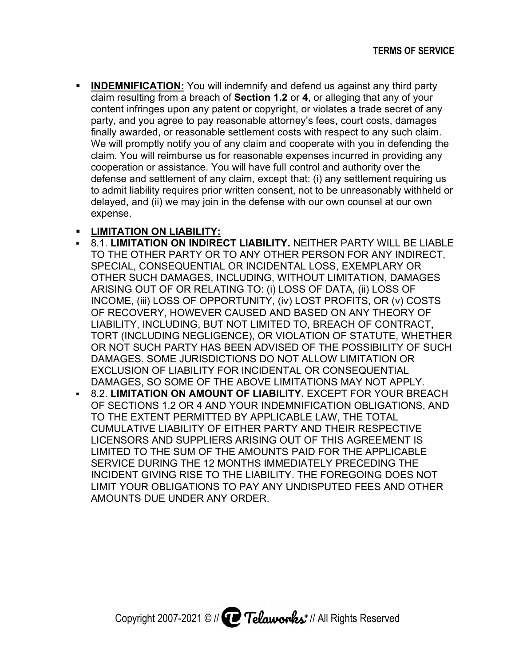**NDEMNIFICATION:** You will indemnify and defend us against any third party **INDEMNIFICATION:** You will indemnify and defend us against any third party claim resulting from a breach of Section 1.2 or 4, or alleging that any of your content infringes upon any patent or copyright, or violates a trad content infringes upon any patent or copyright, or violates a trade secret of any party, and you agree to pay reasonable attorney's fees, court costs, damages party, and you agree to pay reasonable attorney's fees, court costs, damages<br>finally awarded, or reasonable settlement costs with respect to any such claim. We will promptly notify you of any claim and cooperate with you in defending the claim. You will reimburse us for reasonable expenses incurred in providing any cooperation or assistance. You will have full control and authority over the defense and settlement of any claim, except that: (i) any settlement requiring us to admit liability requires prior written consent, not to be unreasonably withheld or to admit liability requires prior written consent, not to be unreasonably withheld<br>delayed, and (ii) we may join in the defense with our own counsel at our own expense. claim resulting from a breach of **Section 1.2** or **4**, or alleging that any of your content infringes upon any patent or copyright, or violates a trade secret of any party, and you agree to pay reasonable attorney's fees, party, and you agree to pay reasonable attorney's fees, court costs, damages<br>finally awarded, or reasonable settlement costs with respect to any such claim.<br>We will promptly notify you of any claim and cooperate with you i ontent infringes upon any patent or copyright, or violates a trade secret of any<br>arty, and you agree to pay reasonable attorney's fees, court costs, damages<br>nally awarded, or reasonable settlement costs with respect to any We will promptly notify you of any claim and cooperate with you in defending th<br>claim. You will reimburse us for reasonable expenses incurred in providing any<br>cooperation or assistance. You will have full control and autho

## **ELIMITATION ON LIABILITY:**

- **8.1. LIMITATION ON INDIRECT LIABILITY.** NEITHER PARTY WILL BE LIABLE TO THE OTHER PARTY OR TO ANY OTHER PERSON FOR ANY INDIRECT, PERSON FOR INDIRECT, SPECIAL, CONSEQUENTIAL OR INCIDENTAL LOSS, EXEMPLARY OR OTHER SUCH DAMAGES, INCLUDING, WITHOUT LIMITATION, ARISING OUT OF OR RELATING TO: (i) LOSS OF DATA, (ii) LOSS OF INCOME, (iii) LOSS OF OPPORTUNITY, (iv) LOST PROFITS, OR (v) COSTS OF RECOVERY, HOWEVER CAUSED AND BASED ON ANY THEORY OF LIABILITY, INCLUDING, BUT NOT LIMITED TO, BREACH OF CONTRACT, TORT (INCLUDING NEGLIGENCE), OR VIOLATION OF STATUTE, LIABILITY, INCLUDING, BUT NOT LIMITED TO, BREACH OF CONTRACT,<br>TORT (INCLUDING NEGLIGENCE), OR VIOLATION OF STATUTE, WHETHER<br>OR NOT SUCH PARTY HAS BEEN ADVISED OF THE POSSIBILITY OF SUCH DAMAGES. SOME JURISDICTIONS DO NOT ALLOW LIMITATION OR EXCLUSION OF LIABILITY FOR INCIDENTAL OR CONSEQUENTIAL DAMAGES, SO SOME OF THE ABOVE LIMITATIONS MAY NOT APPLY. **8.2. LIMITATION ON AMOUNT OF LIABILITY. EXCEPT FOR YOUR BREACH** OF SECTIONS 1.2 OR 4 AND YOUR INDEMNIFICATION OBLIGATI<br>TO THE EXTENT PERMITTED BY APPLICABLE LAW, THE TOTAL ARTY OR TO ANY OTHER PERSON FOR ANY INDIRECT,<br>QUENTIAL OR INCIDENTAL LOSS, EXEMPLARY OR<br>MAGES, INCLUDING, WITHOUT LIMITATION, DAMAGES<br>OR RELATING TO: (i) LOSS OF DATA, (ii) LOSS OF INCOME, (iii) LOSS OF OPPORTUNITY, (iv) LOST PROFITS, OR (v) COSTS<br>OF RECOVERY, HOWEVER CAUSED AND BASED ON ANY THEORY OF<br>LIABILITY, INCLUDING, BUT NOT LIMITED TO, BREACH OF CONTRACT,<br>TORT (INCLUDING NEGLIGENCE), OR VIOLAT OR NOT SUCH PARTY HAS BEEN ADVISED OF THE POSSIBILITY OF :<br>DAMAGES. SOME JURISDICTIONS DO NOT ALLOW LIMITATION OR<br>EXCLUSION OF LIABILITY FOR INCIDENTAL OR CONSEQUENTIAL<br>DAMAGES, SO SOME OF THE ABOVE LIMITATIONS MAY NOT APP TO THE OTHER PARTY OR TO ANY OTHER PERSON FOR ANY INDIR<br>SPECIAL, CONSEQUENTIAL OR INCIDENTAL LOSS, EXEMPLARY OR<br>OTHER SUCH DAMAGES, INCLUDING, WITHOUT LIMITATION, DAMA<br>ARISING OUT OF OR RELATING TO: (i) LOSS OF DATA, (ii) TO THE OTHER PARTY OR TO ANY OTHER PERSON FOR ANY INDIREC<br>SPECIAL, CONSEQUENTIAL OR INCIDENTAL LOSS, EXEMPLARY OR<br>OTHER SUCH DAMAGES, INCLUDING, WITHOUT LIMITATION, DAMAGES<br>ARISING OUT OF OR RELATING TO: (i) LOSS OF DATA, SPECIAL, CONSEQUENTIAL OR INCIDENTAL LOSS, EXEMPLARY OR<br>OTHER SUCH DAMAGES, INCLUDING, WITHOUT LIMITATION, DAMAGES<br>ARISING OUT OF OR RELATING TO: (i) LOSS OF DATA, (ii) LOSS OF<br>INCOME, (iii) LOSS OF OPPORTUNITY, (iv) LOST **TERMS OF SERVICE**<br>
inst any third party<br>
g that any of your<br>
it rade secret of any<br>
ant costs, damages<br>
t to any such claim.<br>
you in defending the<br>
red in providing any<br>
thority over the<br>
ttlement requiring us<br>
reasonably OUT OF OR RELATING TO: (i) LOSS OF DATA, (ii) LOSS OF<br>(iii) LOSS OF OPPORTUNITY, (iv) LOST PROFITS, OR (v) COSTS OF RECOVERY, HOWEVER CAUSED AND BASED ON ANY THEORY<br>LIABILITY, INCLUDING, BUT NOT LIMITED TO, BREACH OF CONTR.<br>TORT (INCLUDING NEGLIGENCE), OR VIOLATION OF STATUTE, W<br>OR NOT SUCH PARTY HAS BEEN ADVISED OF THE POSSIBILITY C ABOVE LIMITATIONS MAY NOT APPLY.<br>**OF LIABILITY.** EXCEPT FOR YOUR BREACH<br>OUR INDEMNIFICATION OBLIGATIONS, AND **Effect 100** States attorney and defend to a squares at the providing from a beach of Societion 1.2 or 4, or alleging that any of your mifringes upon any patent or copyright, or violates a trade secret of any providing you **DEMINITED THER SUCH INTERNATION POST FOR THE AND THE ENERGY AND THE THAT THE AND WE ARE THAT WAN ANOTHING THE UNIT ON DEPAPT AND ANOTHING THAT HAND AND WE ARE INTO THAT IN AN OWN DRIVING WAS A CONSIDE AND HAVE IN ANOTHING** 
	- OF SECTIONS 1.2 OR 4 AND YOUR INDEMNIFICATION OBLIGATIONS, AND<br>TO THE EXTENT PERMITTED BY APPLICABLE LAW, THE TOTAL<br>CUMULATIVE LIABILITY OF EITHER PARTY AND THEIR RESPECTIVE<br>LICENSORS AND SUPPLIERS ARISING OUT OF THIS AGRE TO THE EXTENT PERMITTED BY APPLICABLE LAW, THE TOTAL<br>CUMULATIVE LIABILITY OF EITHER PARTY AND THEIR RESPECTIVE LICENSORS AND SUPPLIERS ARISING OUT OF THIS AGREEMENT IS LIMITED TO THE SUM OF THE AMOUNTS PAID FOR THE APPLICABLE SERVICE DURING THE 12 MONTHS IMMEDIATELY PRECEDING THE INCIDENT GIVING RISE TO THE LIABILITY. THE FOREGOING DOES NOT LIMIT YOUR OBLIGATIONS TO PAY ANY UNDISPUTED FEES AND OTHER UNDISPUTED AMOUNTS DUE UNDER ANY ORDER. (TENT PERMITTED BY APPLICABLE LAW, THE TOTAL<br>VE LIABILITY OF EITHER PARTY AND THEIR RESPECTIV<br>S AND SUPPLIERS ARISING OUT OF THIS AGREEMENT I<br>O THE SUM OF THE AMOUNTS PAID FOR THE APPLICABI<br>DURING THE 12 MONTHS IMMEDIATELY CUMULATIVE LIABILITY OF EITHER PARTY AND THEIR RESPECTIV<br>LICENSORS AND SUPPLIERS ARISING OUT OF THIS AGREEMENT I<br>LIMITED TO THE SUM OF THE AMOUNTS PAID FOR THE APPLICABI<br>SERVICE DURING THE 12 MONTHS IMMEDIATELY PRECEDING T IRING THE 12 MONTHS IMMEDIATELY PRECEDING THE<br>VING RISE TO THE LIABILITY. THE FOREGOING DOES NOT<br>OBLIGATIONS TO PAY ANY UNDISPUTED FEES AND OTHER AND SUPPLIERS ARISING OUT OF THIS AGREEMENT IS<br>THE SUM OF THE AMOUNTS PAID FOR THE APPLICABLE<br>RING THE 12 MONTHS IMMEDIATELY PRECEDING THE<br>VING RISE TO THE LIABILITY. THE FOREGOING DOES NOT LIMITATION ON AMOUNT OF LIABILITY. EXCEPT FOR YOUR I<br>SECTIONS 1.2 OR 4 AND YOUR INDEMNIFICATION OBLIGATIO<br>THE EXTENT PERMITTED BY APPLICABLE LAW, THE TOTAL<br>MULATIVE LIABILITY OF EITHER PARTY AND THEIR RESPECTI<br>ENSORS AND S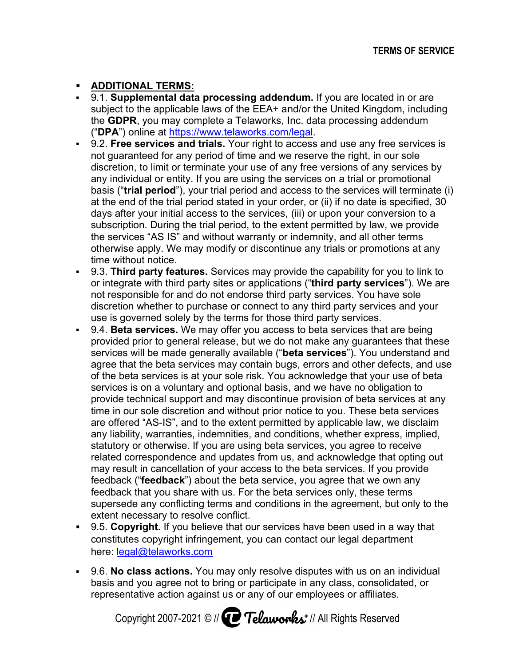## **ADDITIONAL TERMS:**

- **ADDITIONAL TERMS:**<br>■ 9.1. **Supplemental data processing addendum.** If you are located in or are 9.1. **Supplemental data processing addendum.** If you are located in or are<br>subject to the applicable laws of the EEA+ and/or the United Kingdom, including ("DPA") online at https://www.telaworks.com/legal. Telaworks, Inc. data processing a
- subject to the applicable laws of the EEA+ and/or the United Kingdom, including<br>the **GDPR**, you may complete a Telaworks, Inc. data processing addendum<br>("**DPA**") online at <u>https://www.telaworks.com/legal</u>.<br>9.2. **Free serv 9.2. Free services and trials.** Your right to access and use any free services is 9.2. **Free services and trials.** Your right to access and use any free servic<br>not guaranteed for any period of time and we reserve the right, in our sole discretion, to limit or terminate your use of any free versions of any any individual or entity. If you are using the services on a trial or promotional discretion, to limit or terminate your use of any free versions of any services by<br>any individual or entity. If you are using the services on a trial or promotional<br>basis ("**trial period**"), your trial period and access to basis ("**trial period**"), your trial period and access to the services will terminate (i<br>at the end of the trial period stated in your order, or (ii) if no date is specified, 30 at the end of the trial period stated in your order, or (ii) if no date is specified, 3<br>days after your initial access to the services, (iii) or upon your conversion to a at the end of the trial period stated in your order, or (ii) if no date is specified, 3<br>days after your initial access to the services, (iii) or upon your conversion to a<br>subscription. During the trial period, to the exten the services "AS IS" and without warranty or indemnity, and all other terms otherwise apply. We may modify or discontinue any tria<br>time without notice. time without notice. not guaranteed for any period of time and we reserve the right, in our sole<br>discretion, to limit or terminate your use of any free versions of any services by<br>any individual or entity. If you are using the services on a tr the services "AS IS" and without warranty or indemnity, and all other terms<br>otherwise apply. We may modify or discontinue any trials or promotions at any . During the trial period, to the extent perior "AS IS" and without warranty or indemnipply. We may modify or discontinue any t notice.<br> **arty features.** Services may provide the with third party sites or applications ("**t** ur initial access to the services, (iii) or upon your conversion to a<br>During the trial period, to the extent permitted by law, we provide<br>"AS IS" and without warranty or indemnity, and all other terms<br>ply. We may modify or e end of the trial period stated in your order, or (ii) if no date is specified, 3 after your initial access to the services, (iii) or upon your conversion to a cription. During the trial period, to the extent permitted by are using the services on a trial or promotional<br>I period and access to the services will terminate (i)<br>ated in your order, or (ii) if no date is specified, 30<br>o the services, (iii) or upon your conversion to a<br>eriod, to t
- **9.3. Third party features.** Services may provide the capability for you to link to or integrate with third party sites or applications (" not responsible for and do not endorse not responsible for and do not endorse third party services. You have sole<br>discretion whether to purchase or connect to any third party services and your use is governed solely by the terms for those third party services. third party sites or applications ("<br>or and do not endorse third party<br>er to purchase or connect to any<br>solely by the terms for those thirc **third hird party services ervices**"). We are party services. You have sole Services may provide the capability for you to link to<br>sites or applications ("**third party services**"). We a<br>not endorse third party services. You have sole<br>ase or connect to any third party services and your
- **9.4. Beta services.** We may offer you access to beta services that are being 9.4. **Beta services.** We may offer you access to beta services that are being<br>provided prior to general release, but we do not make any guarantees that these services will be made generally available ("beta services"). You understand and agree that the beta services may contain bugs, errors and other defects, and use<br>of the beta services is at your sole risk. You acknowledge that your use of beta<br>services is on a voluntary and optional basis, and we have n of the beta services is at your sole risk. You acknowledge that your use of services is on a voluntary and optional basis, and we have no obligation to provide technical support and may discontinue provision of time in our sole discretion and with are offered "AS-IS", and to the extent permitted by applicable law, we disclaim any liability, warranties, indemnities, and conditions, whether express, implied, statutory or otherwise. If you are using beta services, you agree to receive related correspondence and updates from us, and acknowledge that opting out may result in cancellation of your access to the feedback ("**feedback**") about the beta service, you agree that we own any feedback that you share with us. For the beta services only, these feedback that you share with us. For the beta services only, these terms<br>supersede any conflicting terms and conditions in the agreement, but only to the extent necessary to resolve conflict. supersede any conflicting terms and conditions in the agreement, but only to t<br>extent necessary to resolve conflict.<br>9.5. **Copyright.** If you believe that our services have been used in a way that ride technical support and may discontinue provision of beta services at an<br>؛ in our sole discretion and without prior notice to you. These beta services<br>offered "AS-IS", and to the extent permitted by applicable law, we d any liability, warranties, indemnities, and conditions, whether express, implied,<br>statutory or otherwise. If you are using beta services, you agree to receive<br>related correspondence and updates from us, and acknowledge tha not responsible for and do not endorse third party services. You have sole discretion whether to purchase or connect to any third party services and your use is governed solely by the terms for those third party services. scretion whether to purchase or connect to any third party se<br>se is governed solely by the terms for those third party service<br>4. **Beta services.** We may offer you access to beta services<br>ovided prior to general release, b ervices is on a voluntary and optional basis, and we have no obligation to<br>rovide technical support and may discontinue provision of beta services at any<br>me in our sole discretion and without prior notice to you. These bet offered "AS-IS", and to the extent permitted by applicable law, we disclaim liability, warranties, indemnities, and conditions, whether express, implied, utory or otherwise. If you are using beta services, you agree to rec ed correspondence and updates from us, and acknowledge that optin<br>result in cancellation of your access to the beta services. If you provid<br>pack ("**feedback**") about the beta service, you agree that we own any We may offer you access to beta services that are being beta services. If you provide TRRMS OF SERVIGE<br>
is a processing addendum. If you are located in or are<br>
leak way the EEA+ and/or the United Kingdom, including<br>
impliete a Telaworks, cm. cata processing addendum<br>
impliete a Telaworks, cm. cata processin you. These b correspondence and updates from us, and acknowledge that opting or sult in cancellation of your access to the beta services. If you provide that ("**feedback**") about the beta service, you agree that we own any that you sha **ndum**. If you are located in or are<br>nand/or the United Kingdom, included Kingdom, included Kingdom, included Kingdom, included Ringdom, included<br>in a cross and use any free service<br>we reserve the right, in our sole-<br>any s ird party services. You have sole<br>t to any third party services and your<br>ose third party services.<br>cess to beta services that are being<br>do not make any guarantees that these<br>("**beta services**"). You understand and applicable laws of the EEA+ and/or the United Kingdom, including<br>applicable laws of the EEA+ and/or the United Kingdom, including<br>and trials. Your right to access and test any free services is<br>the same transity. You right ta services. We may offer you access to beta services that are being<br>d prior to general release, but we do not make any guarantees that thes<br>s will be made generally available ("**beta services**"). You understand an<br>and the
- constitutes copyright infringement, you can contact our legal department here: <u>legal@telaworks.com</u> 9.5. **Copyright.** If you believe that our services have been used in a way that<br>constitutes copyright infringement, you can contact our legal department<br>here: <u>legal@telaworks.com</u><br>9.6. No class actions. You may only resol
- basis and you agree not to bring or participate in any class, consolidated, or 9.6. **No class actions.** You may only resolve disputes with us on an i<br>basis and you agree not to bring or participate in any class, consolida<br>representative action against us or any of our employees or affiliates.

Copyright 2007-2021 © // **Let Telaworks** // All Rights Reserved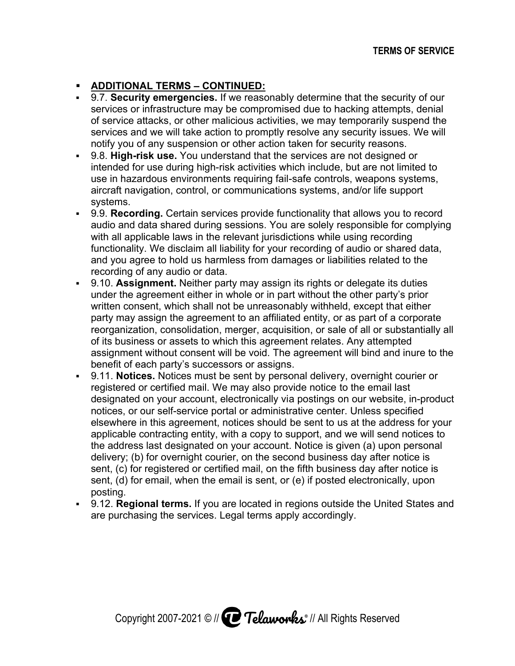# **ADDITIONAL TERMS – CONTINUED: CONTINUED:**

- **9.7. Security emergencies.** If we reasonably determine that the security of our services or infrastructure may be compromised due to hacking attempts, denial of service attacks, or other malicious activities, we may temporarily suspend the services and we will take action to promptly resolve any security issues. We will We any suspension or other action taken for security reasons. notify you of any suspension or other action taken for security reasons. ervices or infrastructure may be compromised due to hacking attempts, deniast service attacks, or other malicious activities, we may temporarily suspend thervices and we will take action to promptly resolve any security is ve reasonably determine that the security of<br>e compromised due to hacking attempts, der<br>cious activities, we may temporarily suspend<br>to promptly resolve any security issues. We<br>other action taken for security reasons. other malicious activities, we may temporarily suspend the
- **9.8. High-risk use.** You understand that the services are not designed or intended for use during high services and we will take action to promptly resolve any security issues. We wi<br>notify you of any suspension or other action taken for security reasons.<br>9.8. **High-risk use.** You understand that the services are not design aircraft navigation, control, or communications systems, and/or life support navigation, control, or communications systems, and/or life support systems. use in hazardous environments requiring fail-safe controls, weapons systems,<br>aircraft navigation, control, or communications systems, and/or life support<br>systems.<br>9.9. **Recording.** Certain services provide functionality th services or infrastructure may be compromised due to hacking attempts, denial<br>of service attacks, or other malicious activities, we may temporarily suspend the<br>services and we will take action to promptly resolve any secur
- audio and data shared during sessions. You are solely with all applicable laws in the relevant jurisdictions while using recording functionality. We disclaim all liability for your recording of audio or shared data, and you agree to hold us harmless from damages or liabilities relate recording of any audio or data. audio and data shared during sessions. You are solely respons<br>with all applicable laws in the relevant jurisdictions while using r<br>functionality. We disclaim all liability for your recording of audio<br>and you agree to hold all liability for your recording of audio or shared data, ng. Certain services provide functionality that allows you to record<br>ta shared during sessions. You are solely responsible for complyin<br>able laws in the relevant jurisdictions while using recording<br>We disclaim all liabilit
- **-** 9.10. Assignment. Neither party may assign its rights or delegate its duties 9.10. **Assignment.** Neither party may assign its rights or delegate its duties<br>under the agreement either in whole or in part without the other party's prior written consent, which shall not be unreasonably withheld, party may assign the agreement to an affiliated entity, or as part of a corporate reorganization, consolidation, merger, acquisition, or sale of all or substantially all of its business or assets to which this agreement relates. Any attempted of its business or assets to which this agreement relates. Any attempted<br>assignment without consent will be void. The agreement will bind and inure to the benefit of each party's successors or assigns. itten consent, which shall not be unreasonably withheld, except<br>rty may assign the agreement to an affiliated entity, or as part o<br>prganization, consolidation, merger, acquisition, or sale of all or<br>its business or assets greement either in whole or in part without the other party's prior<br>sent, which shall not be unreasonably withheld, except that either<br>ıssign the agreement to an affiliated entity, or as part of a corporate substantially 9. **Recording.** Certain services provide functionality that allows you to dio and data shared during sessions. You are solely responsible for contherent all applicable laws in the relevant jurisdictions while using recordi which shall not be unreasonably withheld, except that either in the agreement to an affiliated entity, or as part of a corporate<br>consolidation, merger, acquisition, or sale of all or substantially all<br>pr assets to which this agreement relates. Any attempted<br>nout consent will be void either in whole or in part without the other party's prior<br>i shall not be unreasonably withheld, except that either<br>agreement to an affiliated entity, or as part of a corporate<br>lidation, merger, acquisition, or sale of all
- **9.11. Notices.** Notices must be sent by personal delivery, overnight courier or registered or certified mail. We may also provide notice to the email last designated on your account, electronically via postings on our website, in notices, or our self-service portal or administrative center. Unless specified elsewhere in this agreement, notices should be sent to us at the address for your applicable contracting entity, with a copy to support, and we will send notices to the address last designated on your account. Notice is given (a) upon personal delivery; (b) for overnight courier, on the sec sent, (c) for registered or certified mail, on the fifth business day after notice is sent, (d) for email, when the email is sent, or (e) if posted electronically, upon posting. iself there in this agreement, notices should be sent to us at the address for your able contracting entity, with a copy to support, and we will send notices to ddress last designated on your account. Notice is given (a) u audio and data shared during sessions. You are with all applicable laws in the relevant jurisdiction funding we disclaim all liability for your recording of any audio or data.<br>
9.10. **Assignment**. Neither party may assign assignment without consent will be void. The agreement will bind and inure<br>benefit of each party's successors or assigns.<br>9.11. **Notices.** Notices must be sent by personal delivery, overnight courier<br>registered or certifie the address last designated on your account. Notice is given (a) upon personal<br>delivery; (b) for overnight courier, on the second business day after notice is<br>sent, (c) for registered or certified mail, on the fifth busine (c) for registered or certified mail, on<br>(d) for email, when the email is sent,<br>ng.<br>**Regional terms.** If you are located in<br>urchasing the services. Legal terms a rtified mail. We may also provide notice to the email last<br>rour account, electronically via postings on our website, in-product<br>self-service portal or administrative center. Unless specified<br>s agreement, notices should be ht courier, on the second business day after notice is<br>pr certified mail, on the fifth business day after notice is<br>n the email is sent, or (e) if posted electronically, upon<br>If you are located in regions outside the Unite TERMS OF SERVICE<br>
I. If we reasonably determine that the security of our<br>
yy be compromised due to hacking attempts, denial<br>
raincious activities, we may temporarily suspend the<br>
terms and that the services are not designe Notices must be sent by personal delivery, overnight courier or<br>ertified mail. We may also provide notice to the email last<br>your account, electronically via postings on our website, in-product<br>self-service portal or admini If we reasonably determine that the security of our<br>the componimede due to hacking attempts, denial<br>alicious activities, we may temporarily suspend the<br>alicious activities, we may temporarily suspend the<br>or other action t elf-service portal or administrative center. Unless specified agreement, notices should be sent to us at the address for acting entity, with a copy to support, and we will send notices designated on your account. Notice is fifth business day after notice is when the email is sent, or (e) if posted electronically, upon 9.7. Security emergencies. If we reasonably determine that the security of our services and we will take its our other and controls, we may temporarily suspend the services and we will take action to promptly resolve any s I. **Notices.** Notices must be sent by personal delivery, overnight courier or stered or certified mail. We may also provide notice to the email last ignated on your account, electronically via postings on our website, in-p
- **9.12. Regional terms.** are purchasing the services. Legal terms apply accordingly